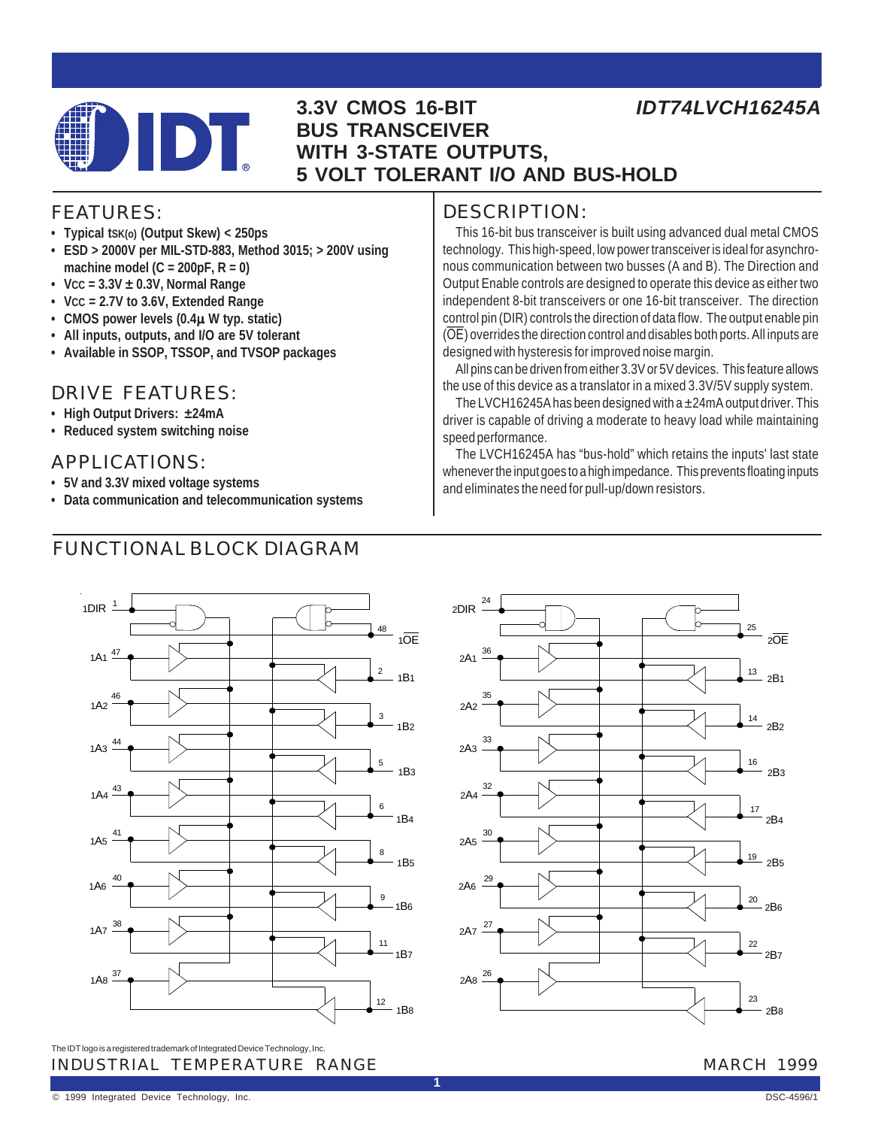

### **3.3V CMOS 16-BIT BUS TRANSCEIVER WITH 3-STATE OUTPUTS, 5 VOLT TOLERANT I/O AND BUS-HOLD**

## *IDT74LVCH16245A*

### FEATURES:

- **Typical tSK(o) (Output Skew) < 250ps**
- **ESD > 2000V per MIL-STD-883, Method 3015; > 200V using machine model (C = 200pF, R = 0)**
- **VCC = 3.3V ± 0.3V, Normal Range**
- **VCC = 2.7V to 3.6V, Extended Range**
- **CMOS power levels (0.4**µ **W typ. static)**
- **All inputs, outputs, and I/O are 5V tolerant**
- **Available in SSOP, TSSOP, and TVSOP packages**

### DRIVE FEATURES:

- **High Output Drivers: ±24mA**
- **Reduced system switching noise**

### APPLICATIONS:

- **5V and 3.3V mixed voltage systems**
- **Data communication and telecommunication systems**

### FUNCTIONAL BLOCK DIAGRAM

### DESCRIPTION:

This 16-bit bus transceiver is built using advanced dual metal CMOS technology. This high-speed, low power transceiver is ideal for asynchronous communication between two busses (A and B). The Direction and Output Enable controls are designed to operate this device as either two independent 8-bit transceivers or one 16-bit transceiver. The direction control pin (DIR) controls the direction of data flow. The output enable pin (OE) overrides the direction control and disables both ports. All inputs are designed with hysteresis for improved noise margin.

All pins can be driven from either 3.3V or 5V devices. This feature allows the use of this device as a translator in a mixed 3.3V/5V supply system.

The LVCH16245A has been designed with a  $\pm$ 24mA output driver. This driver is capable of driving a moderate to heavy load while maintaining speed performance.

The LVCH16245A has "bus-hold" which retains the inputs' last state whenever the input goes to a high impedance. This prevents floating inputs and eliminates the need for pull-up/down resistors.





INDUSTRIAL TEMPERATURE RANGE MARCH 1999 The IDT logo is a registered trademark of Integrated Device Technology, Inc.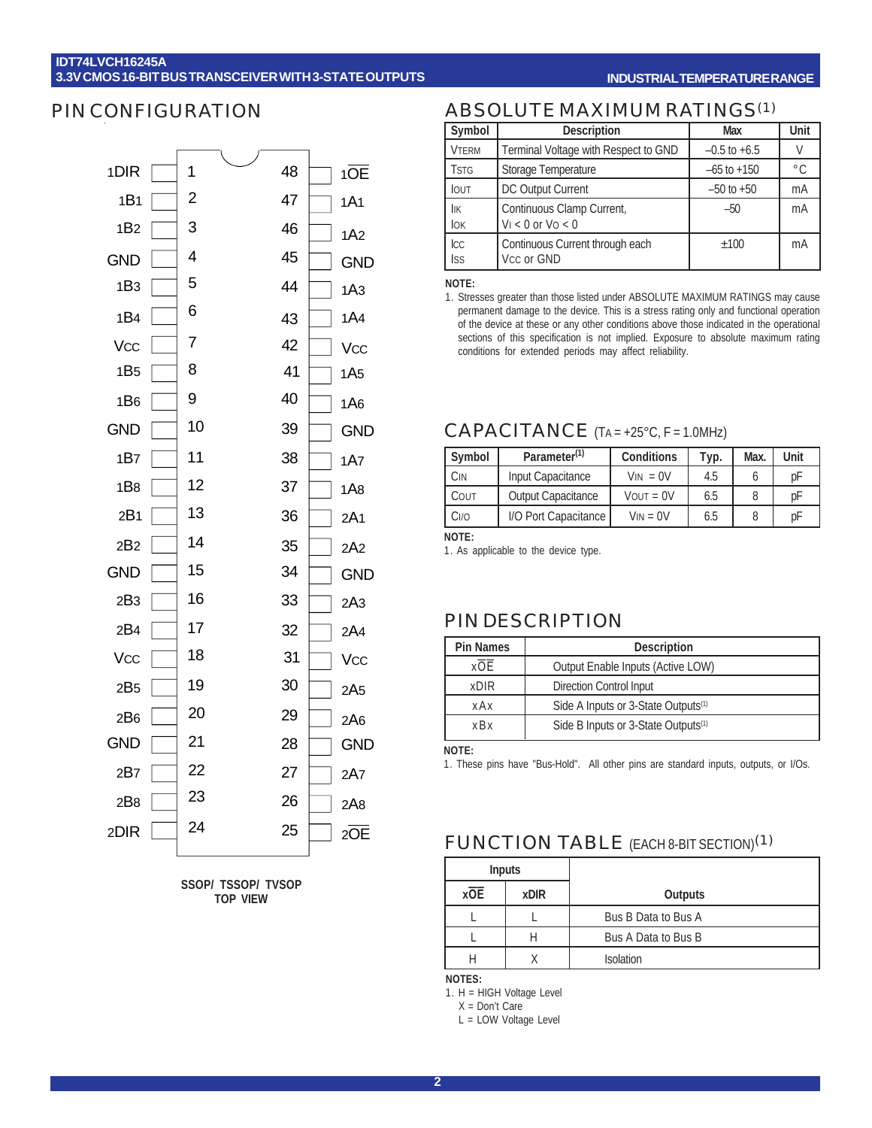#### **IDT74LVCH16245A 3.3V CMOS 16-BIT BUS TRANSCEIVER WITH 3-STATE OUTPUTS**

#### **INDUSTRIAL TEMPERATURE RANGE**

### PIN CONFIGURATION



**SSOP/ TSSOP/ TVSOP TOP VIEW**

### ABSOLUTE MAXIMUM RATINGS(1)

| Symbol            | <b>Description</b>                                  | Max              | Unit          |
|-------------------|-----------------------------------------------------|------------------|---------------|
| <b>VTERM</b>      | Terminal Voltage with Respect to GND                | $-0.5$ to $+6.5$ |               |
| <b>TSTG</b>       | Storage Temperature                                 | $-65$ to $+150$  | $^{\circ}$ C. |
| <b>IOUT</b>       | DC Output Current                                   | $-50$ to $+50$   | mA            |
| İІК<br>lok        | Continuous Clamp Current,<br>$V_1 < 0$ or $V_0 < 0$ | $-50$            | mA            |
| Icc<br><b>ISS</b> | Continuous Current through each<br>Vcc or GND       | ±100             | mA            |

**NOTE:**

1. Stresses greater than those listed under ABSOLUTE MAXIMUM RATINGS may cause permanent damage to the device. This is a stress rating only and functional operation of the device at these or any other conditions above those indicated in the operational sections of this specification is not implied. Exposure to absolute maximum rating conditions for extended periods may affect reliability.

### CAPACITANCE (TA = +25°C, F = 1.0MHz)

| Symbol | Parameter <sup>(1)</sup>  | <b>Conditions</b> | Typ. | Max. | Unit |
|--------|---------------------------|-------------------|------|------|------|
| Cin    | Input Capacitance         | $VIN = 0V$        | 4.5  |      | рF   |
| COUT   | <b>Output Capacitance</b> | $V$ OUT = $0V$    | 6.5  |      | рF   |
| Ci/o   | I/O Port Capacitance      | $V_{IN} = 0V$     | 6.5  |      | рF   |
| MOTE.  |                           |                   |      |      |      |

**NOTE:**

1. As applicable to the device type.

### PIN DESCRIPTION

| <b>Pin Names</b>                                       | <b>Description</b>      |  |
|--------------------------------------------------------|-------------------------|--|
| x OE<br>Output Enable Inputs (Active LOW)              |                         |  |
| <b>xDIR</b>                                            | Direction Control Input |  |
| Side A Inputs or 3-State Outputs <sup>(1)</sup><br>xAx |                         |  |
| Side B Inputs or 3-State Outputs <sup>(1)</sup><br>xBx |                         |  |

**NOTE:**

1. These pins have "Bus-Hold". All other pins are standard inputs, outputs, or I/Os.

### FUNCTION TABLE (EACH 8-BIT SECTION)(1)

|     | <b>Inputs</b> |                     |  |
|-----|---------------|---------------------|--|
| xOE | <b>xDIR</b>   | <b>Outputs</b>      |  |
|     |               | Bus B Data to Bus A |  |
|     |               | Bus A Data to Bus B |  |
|     |               | <b>Isolation</b>    |  |

**NOTES:**

1. H = HIGH Voltage Level

X = Don't Care

L = LOW Voltage Level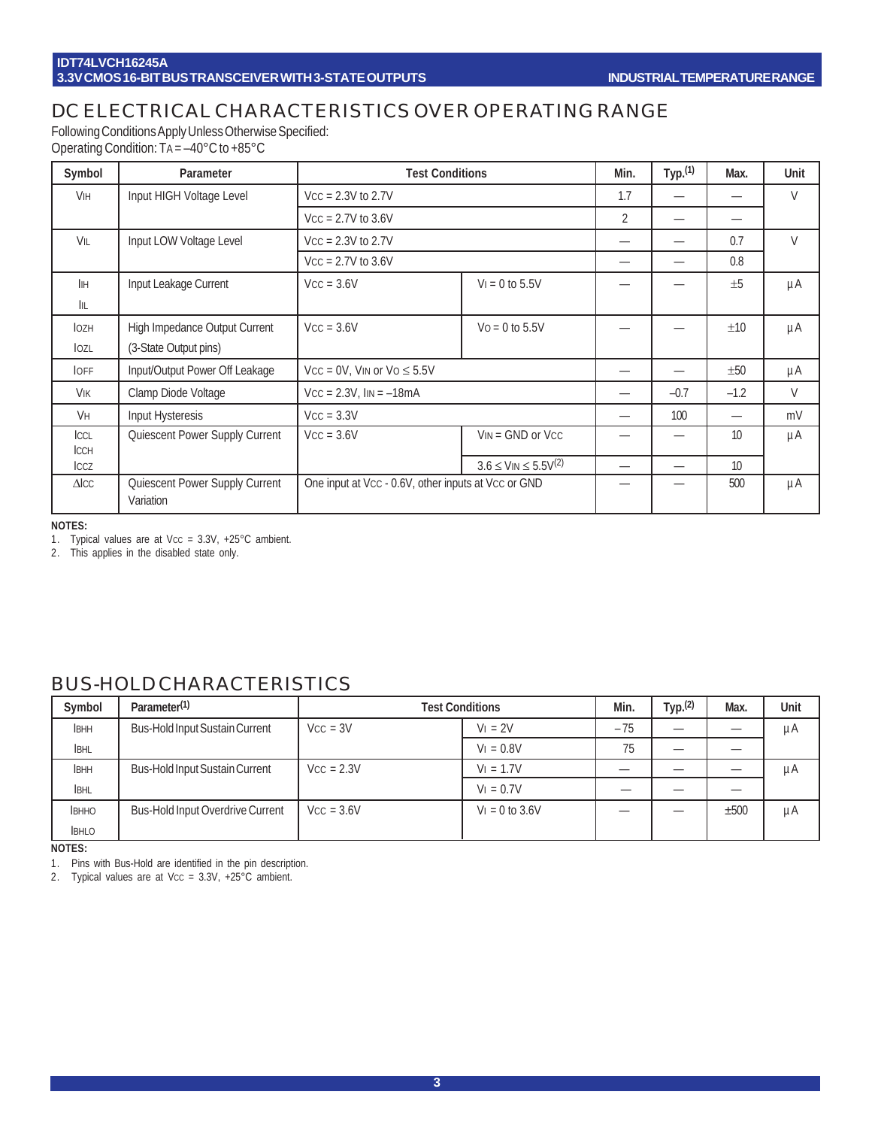### DC ELECTRICAL CHARACTERISTICS OVER OPERATING RANGE

Following Conditions Apply Unless Otherwise Specified:

Operating Condition: TA = –40°C to +85°C

| Symbol                | Parameter                                   | <b>Test Conditions</b>                              |                                                        | Min.                     | Typ. <sup>(1)</sup> | Max.             | Unit    |
|-----------------------|---------------------------------------------|-----------------------------------------------------|--------------------------------------------------------|--------------------------|---------------------|------------------|---------|
| <b>V<sub>IH</sub></b> | Input HIGH Voltage Level                    | $Vcc = 2.3V$ to 2.7V                                |                                                        | 1.7                      |                     |                  | V       |
|                       |                                             | $Vcc = 2.7V$ to 3.6V                                |                                                        | 2                        |                     |                  |         |
| VIL                   | Input LOW Voltage Level                     | $Vcc = 2.3V$ to 2.7V                                |                                                        |                          |                     | 0.7              | V       |
|                       |                                             | $Vcc = 2.7V$ to 3.6V                                |                                                        | —                        |                     | 0.8              |         |
| <b>I</b> IH           | Input Leakage Current                       | $VCC = 3.6V$                                        | $V_1 = 0$ to 5.5V                                      |                          |                     | $+5$             | μA      |
| IIL.                  |                                             |                                                     |                                                        |                          |                     |                  |         |
| <b>IOZH</b>           | High Impedance Output Current               | $Vcc = 3.6V$                                        | $Vo = 0$ to 5.5V                                       |                          |                     | ±10              | μA      |
| lozl                  | (3-State Output pins)                       |                                                     |                                                        |                          |                     |                  |         |
| <b>OFF</b>            | Input/Output Power Off Leakage              | $Vcc = 0V$ , VIN or $Vo \le 5.5V$                   |                                                        |                          |                     | ±50              | μA      |
| VIK                   | Clamp Diode Voltage                         | $Vcc = 2.3V$ , $IIN = -18mA$                        |                                                        |                          | $-0.7$              | $-1.2$           | V       |
| Vн                    | Input Hysteresis                            | $Vcc = 3.3V$                                        |                                                        |                          | 100                 |                  | mV      |
| ICCL                  | Quiescent Power Supply Current              | $Vcc = 3.6V$                                        | $V_{IN} = GND$ or $V_{CC}$                             |                          |                     | 10               | $\mu$ A |
| <b>ICCH</b><br>ICCZ   |                                             |                                                     | $3.6 \leq$ V <sub>IN</sub> $\leq 5.5$ V <sup>(2)</sup> | $\overline{\phantom{0}}$ | -                   | 10 <sup>10</sup> |         |
| $\triangle$ ICC       | Quiescent Power Supply Current<br>Variation | One input at Vcc - 0.6V, other inputs at Vcc or GND |                                                        |                          |                     | 500              | $\mu$ A |

**NOTES:**

1. Typical values are at Vcc =  $3.3V$ ,  $+25^{\circ}$ C ambient.

2. This applies in the disabled state only.

### BUS-HOLD CHARACTERISTICS

| Symbol       | Parameter <sup>(1)</sup>                | <b>Test Conditions</b> |                   | Min.  | Typ. <sup>(2)</sup> | Max. | Unit |
|--------------|-----------------------------------------|------------------------|-------------------|-------|---------------------|------|------|
| <b>IBHH</b>  | <b>Bus-Hold Input Sustain Current</b>   | $V_{\rm CC} = 3V$      | $V_1 = 2V$        | $-75$ |                     |      | μA   |
| <b>IBHL</b>  |                                         |                        | $V_1 = 0.8V$      | 75    |                     |      |      |
| <b>IBHH</b>  | <b>Bus-Hold Input Sustain Current</b>   | $Vcc = 2.3V$           | $V_1 = 1.7V$      |       |                     |      | μA   |
| <b>IBHL</b>  |                                         |                        | $V_1 = 0.7V$      |       |                     |      |      |
| <b>BHHO</b>  | <b>Bus-Hold Input Overdrive Current</b> | $Vcc = 3.6V$           | $V_1 = 0$ to 3.6V |       |                     | ±500 | μA   |
| <b>IBHLO</b> |                                         |                        |                   |       |                     |      |      |

**NOTES:**

1. Pins with Bus-Hold are identified in the pin description.

2. Typical values are at Vcc =  $3.3V$ ,  $+25^{\circ}$ C ambient.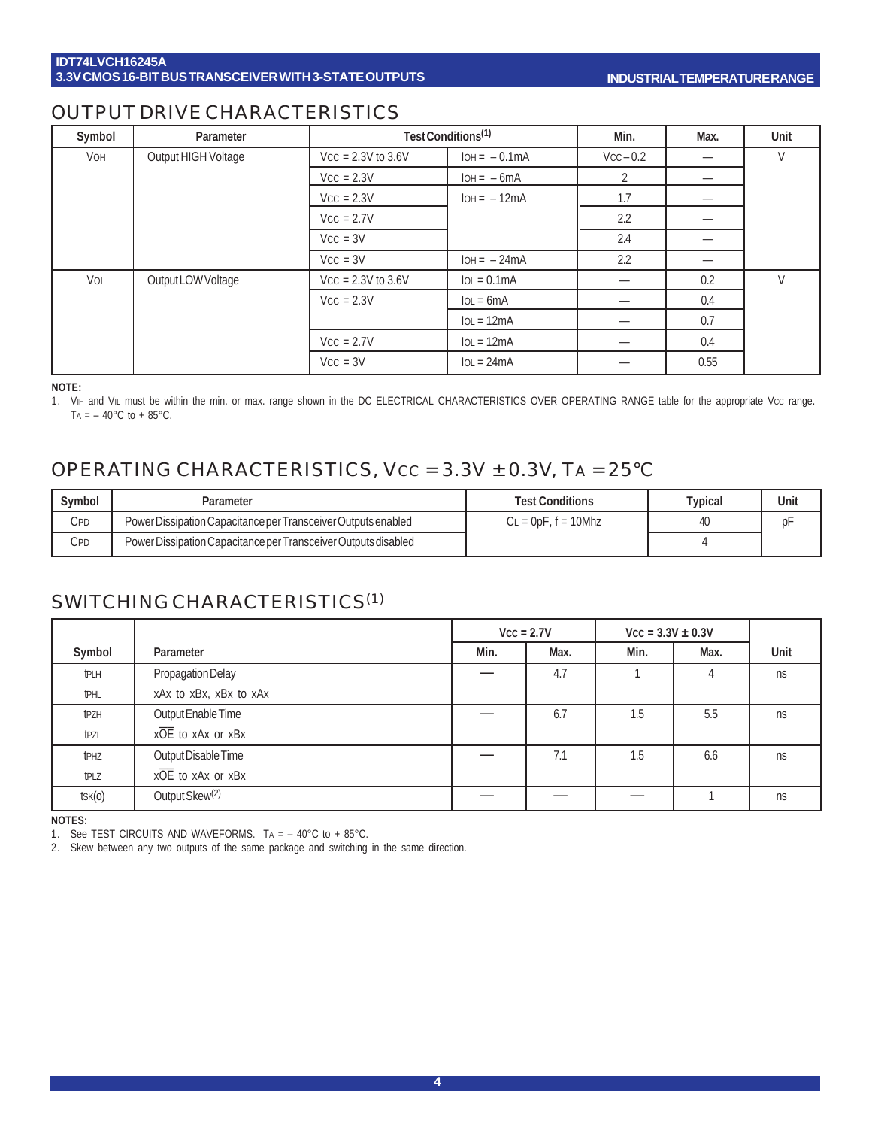### OUTPUT DRIVE CHARACTERISTICS

| Symbol     | Parameter           | Test Conditions <sup>(1)</sup> |                | Min.      | Max. | Unit |
|------------|---------------------|--------------------------------|----------------|-----------|------|------|
| <b>VOH</b> | Output HIGH Voltage | $Vcc = 2.3V$ to 3.6V           | $IOH = -0.1mA$ | $Vcc-0.2$ |      |      |
|            |                     | $Vcc = 2.3V$                   | $IOH = -6mA$   |           |      |      |
|            |                     | $Vcc = 2.3V$                   | $IOH = -12mA$  | 1.7       |      |      |
|            |                     | $Vcc = 2.7V$                   |                | 2.2       |      |      |
|            |                     | $Vcc = 3V$                     |                | 2.4       |      |      |
|            |                     | $Vcc = 3V$                     | $IOH = -24mA$  | 2.2       | _    |      |
| VOL        | Output LOW Voltage  | $Vcc = 2.3V$ to 3.6V           | $IoL = 0.1mA$  |           | 0.2  | V    |
|            |                     | $Vcc = 2.3V$                   | $IOL = 6mA$    |           | 0.4  |      |
|            |                     |                                | $IoL = 12mA$   | —         | 0.7  |      |
|            |                     | $Vcc = 2.7V$                   | $IoL = 12mA$   |           | 0.4  |      |
|            |                     | $Vcc = 3V$                     | $IOL = 24mA$   |           | 0.55 |      |

#### **NOTE:**

1. VIH and VIL must be within the min. or max. range shown in the DC ELECTRICAL CHARACTERISTICS OVER OPERATING RANGE table for the appropriate Vcc range. TA =  $-$  40 $^{\circ}$ C to + 85 $^{\circ}$ C.

### OPERATING CHARACTERISTICS, VCC = 3.3V ± 0.3V, TA = 25°C

| Svmbol | Parameter                                                      | <b>Test Conditions</b>    | $\tau$ ypical | Unit |
|--------|----------------------------------------------------------------|---------------------------|---------------|------|
| Cpd    | Power Dissipation Capacitance per Transceiver Outputs enabled  | $L = 0$ p $F$ , f = 10Mhz |               |      |
| CPD    | Power Dissipation Capacitance per Transceiver Outputs disabled |                           |               |      |

### SWITCHING CHARACTERISTICS(1)

|                  |                            |      | $Vcc = 2.7V$ | $Vcc = 3.3V \pm 0.3V$ |      |           |
|------------------|----------------------------|------|--------------|-----------------------|------|-----------|
| Symbol           | Parameter                  | Min. | Max.         | Min.                  | Max. | Unit      |
| <b>tPLH</b>      | Propagation Delay          |      | 4.7          |                       | 4    | ns        |
| <b>IPHL</b>      | xAx to xBx, xBx to xAx     |      |              |                       |      |           |
| t <sub>PZH</sub> | Output Enable Time         |      | 6.7          | 1.5                   | 5.5  | ns        |
| tpzl             | xOE to xAx or xBx          |      |              |                       |      |           |
| t <sub>PHZ</sub> | Output Disable Time        |      | 7.1          | 1.5                   | 6.6  | ns        |
| t <sub>PLZ</sub> | xOE to xAx or xBx          |      |              |                       |      |           |
| $t$ SK $(0)$     | Output Skew <sup>(2)</sup> |      |              |                       |      | <b>ns</b> |

**NOTES:**

1. See TEST CIRCUITS AND WAVEFORMS. TA = – 40°C to + 85°C.

2. Skew between any two outputs of the same package and switching in the same direction.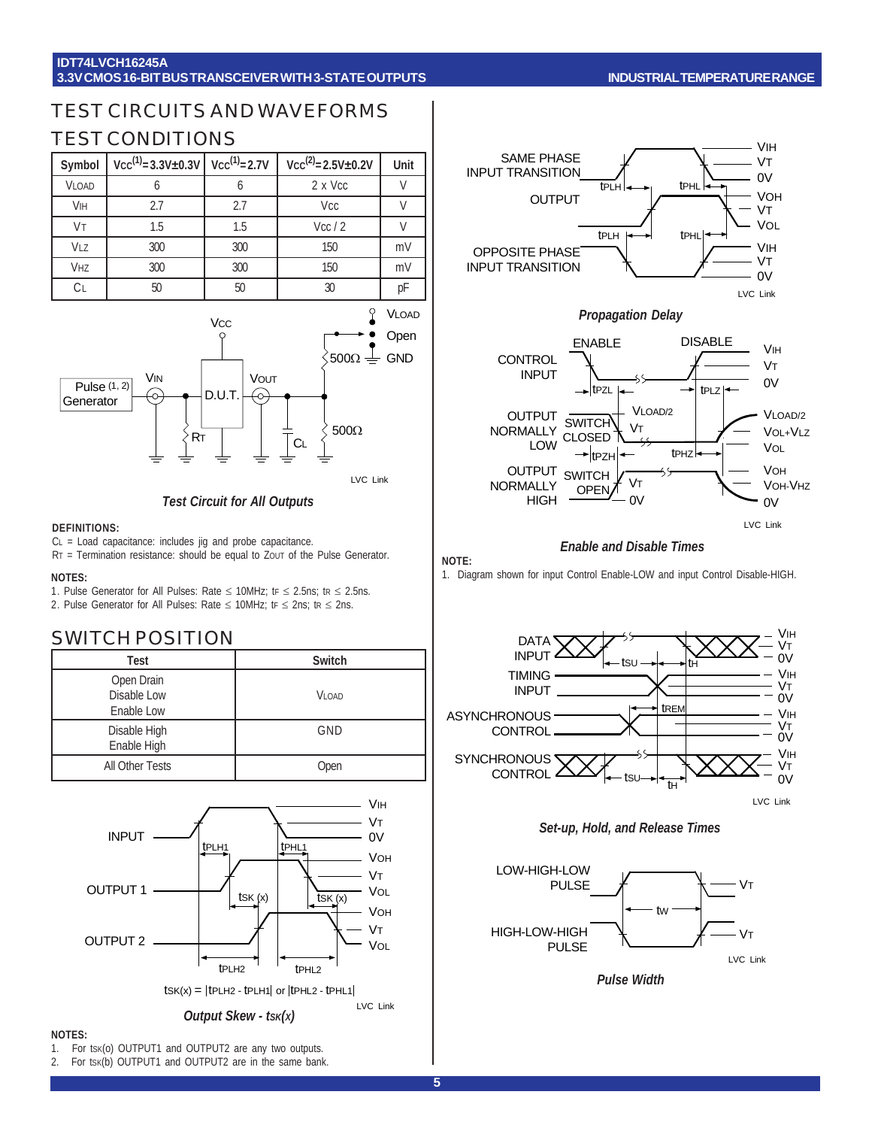#### **IDT74LVCH16245A 3.3V CMOS 16-BIT BUS TRANSCEIVER WITH 3-STATE OUTPUTS**

#### **INDUSTRIAL TEMPERATURE RANGE**

### TEST CIRCUITS AND WAVEFORMS TEST CONDITIONS

| Symbol         | $Vcc^{(1)} = 3.3V \pm 0.3V$ $Vcc^{(1)} = 2.7V$ |     | $Vcc^{(2)} = 2.5V \pm 0.2V$ | Unit |
|----------------|------------------------------------------------|-----|-----------------------------|------|
| <b>VLOAD</b>   |                                                |     | 2 x Vcc                     |      |
| <b>VIH</b>     | 2.7                                            | 2.7 | Vcc                         |      |
| Vт             | 1.5                                            | 1.5 | Vcc/2                       |      |
| VLZ            | 300                                            | 300 | 150                         | mV   |
| <b>VHZ</b>     | 300                                            | 300 | 150                         | mV   |
| C <sub>L</sub> | 50                                             | 50  | 30                          | pF   |





#### *Test Circuit for All Outputs*

#### **DEFINITIONS:**

CL = Load capacitance: includes jig and probe capacitance.

RT = Termination resistance: should be equal to ZouT of the Pulse Generator.

#### **NOTES:**

1. Pulse Generator for All Pulses: Rate  $\leq$  10MHz; tr  $\leq$  2.5ns; tr  $\leq$  2.5ns. 2. Pulse Generator for All Pulses: Rate  $\leq$  10MHz; tr  $\leq$  2ns; tr  $\leq$  2ns.

### SWITCH POSITION

| Test                                    | <b>Switch</b> |
|-----------------------------------------|---------------|
| Open Drain<br>Disable Low<br>Enable Low | <b>VI OAD</b> |
| Disable High<br>Enable High             | GND           |
| All Other Tests                         | Open          |





#### **NOTES:**

- 1. For tsk(o) OUTPUT1 and OUTPUT2 are any two outputs.
- 2. For tsk(b) OUTPUT1 and OUTPUT2 are in the same bank.



*Propagation Delay*



#### *Enable and Disable Times*

#### **NOTE:**

1. Diagram shown for input Control Enable-LOW and input Control Disable-HIGH.







*Pulse Width*